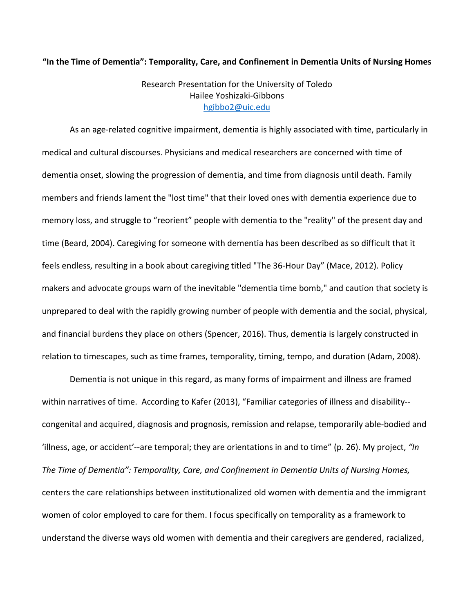#### **"In the Time of Dementia": Temporality, Care, and Confinement in Dementia Units of Nursing Homes**

# Research Presentation for the University of Toledo Hailee Yoshizaki-Gibbons hgibbo2@uic.edu

As an age-related cognitive impairment, dementia is highly associated with time, particularly in medical and cultural discourses. Physicians and medical researchers are concerned with time of dementia onset, slowing the progression of dementia, and time from diagnosis until death. Family members and friends lament the "lost time" that their loved ones with dementia experience due to memory loss, and struggle to "reorient" people with dementia to the "reality" of the present day and time (Beard, 2004). Caregiving for someone with dementia has been described as so difficult that it feels endless, resulting in a book about caregiving titled "The 36-Hour Day" (Mace, 2012). Policy makers and advocate groups warn of the inevitable "dementia time bomb," and caution that society is unprepared to deal with the rapidly growing number of people with dementia and the social, physical, and financial burdens they place on others (Spencer, 2016). Thus, dementia is largely constructed in relation to timescapes, such as time frames, temporality, timing, tempo, and duration (Adam, 2008).

Dementia is not unique in this regard, as many forms of impairment and illness are framed within narratives of time. According to Kafer (2013), "Familiar categories of illness and disability- congenital and acquired, diagnosis and prognosis, remission and relapse, temporarily able-bodied and 'illness, age, or accident'--are temporal; they are orientations in and to time" (p. 26). My project, *"In The Time of Dementia": Temporality, Care, and Confinement in Dementia Units of Nursing Homes,* centers the care relationships between institutionalized old women with dementia and the immigrant women of color employed to care for them. I focus specifically on temporality as a framework to understand the diverse ways old women with dementia and their caregivers are gendered, racialized,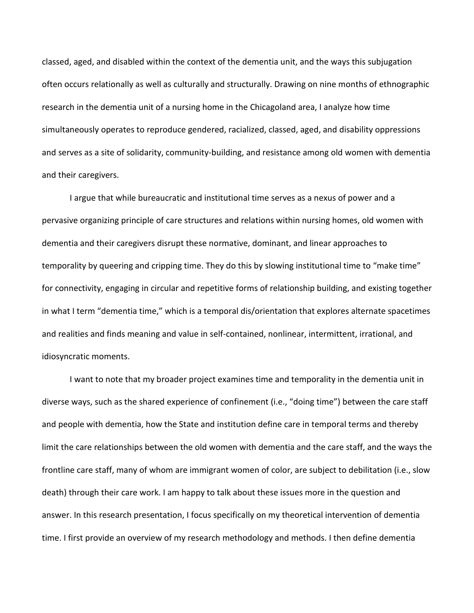classed, aged, and disabled within the context of the dementia unit, and the ways this subjugation often occurs relationally as well as culturally and structurally. Drawing on nine months of ethnographic research in the dementia unit of a nursing home in the Chicagoland area, I analyze how time simultaneously operates to reproduce gendered, racialized, classed, aged, and disability oppressions and serves as a site of solidarity, community-building, and resistance among old women with dementia and their caregivers.

I argue that while bureaucratic and institutional time serves as a nexus of power and a pervasive organizing principle of care structures and relations within nursing homes, old women with dementia and their caregivers disrupt these normative, dominant, and linear approaches to temporality by queering and cripping time. They do this by slowing institutional time to "make time" for connectivity, engaging in circular and repetitive forms of relationship building, and existing together in what I term "dementia time," which is a temporal dis/orientation that explores alternate spacetimes and realities and finds meaning and value in self-contained, nonlinear, intermittent, irrational, and idiosyncratic moments.

I want to note that my broader project examines time and temporality in the dementia unit in diverse ways, such as the shared experience of confinement (i.e., "doing time") between the care staff and people with dementia, how the State and institution define care in temporal terms and thereby limit the care relationships between the old women with dementia and the care staff, and the ways the frontline care staff, many of whom are immigrant women of color, are subject to debilitation (i.e., slow death) through their care work. I am happy to talk about these issues more in the question and answer. In this research presentation, I focus specifically on my theoretical intervention of dementia time. I first provide an overview of my research methodology and methods. I then define dementia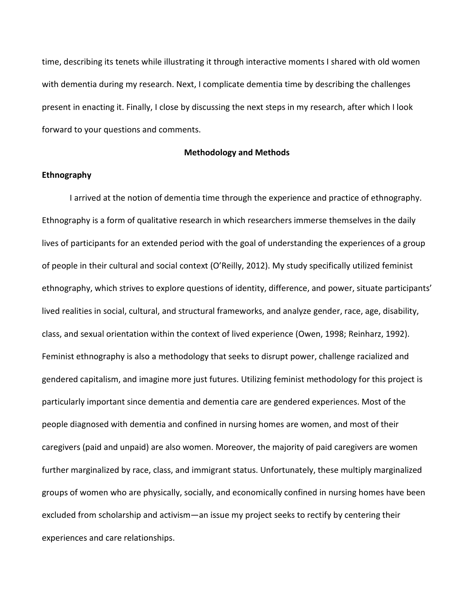time, describing its tenets while illustrating it through interactive moments I shared with old women with dementia during my research. Next, I complicate dementia time by describing the challenges present in enacting it. Finally, I close by discussing the next steps in my research, after which I look forward to your questions and comments.

## **Methodology and Methods**

## **Ethnography**

I arrived at the notion of dementia time through the experience and practice of ethnography. Ethnography is a form of qualitative research in which researchers immerse themselves in the daily lives of participants for an extended period with the goal of understanding the experiences of a group of people in their cultural and social context (O'Reilly, 2012). My study specifically utilized feminist ethnography, which strives to explore questions of identity, difference, and power, situate participants' lived realities in social, cultural, and structural frameworks, and analyze gender, race, age, disability, class, and sexual orientation within the context of lived experience (Owen, 1998; Reinharz, 1992). Feminist ethnography is also a methodology that seeks to disrupt power, challenge racialized and gendered capitalism, and imagine more just futures. Utilizing feminist methodology for this project is particularly important since dementia and dementia care are gendered experiences. Most of the people diagnosed with dementia and confined in nursing homes are women, and most of their caregivers (paid and unpaid) are also women. Moreover, the majority of paid caregivers are women further marginalized by race, class, and immigrant status. Unfortunately, these multiply marginalized groups of women who are physically, socially, and economically confined in nursing homes have been excluded from scholarship and activism—an issue my project seeks to rectify by centering their experiences and care relationships.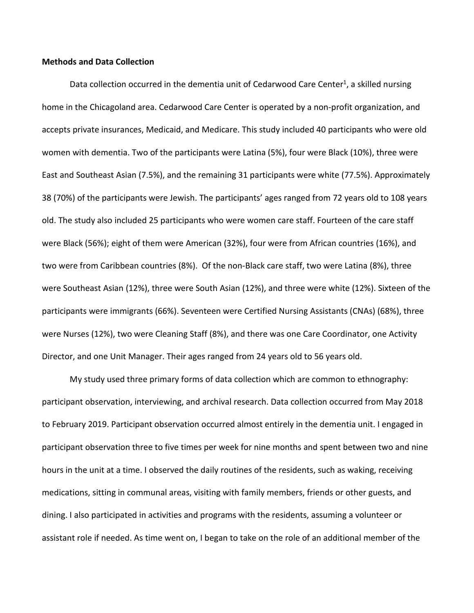## **Methods and Data Collection**

Data collection occurred in the dementia unit of Cedarwood Care Center<sup>1</sup>, a skilled nursing home in the Chicagoland area. Cedarwood Care Center is operated by a non-profit organization, and accepts private insurances, Medicaid, and Medicare. This study included 40 participants who were old women with dementia. Two of the participants were Latina (5%), four were Black (10%), three were East and Southeast Asian (7.5%), and the remaining 31 participants were white (77.5%). Approximately 38 (70%) of the participants were Jewish. The participants' ages ranged from 72 years old to 108 years old. The study also included 25 participants who were women care staff. Fourteen of the care staff were Black (56%); eight of them were American (32%), four were from African countries (16%), and two were from Caribbean countries (8%). Of the non-Black care staff, two were Latina (8%), three were Southeast Asian (12%), three were South Asian (12%), and three were white (12%). Sixteen of the participants were immigrants (66%). Seventeen were Certified Nursing Assistants (CNAs) (68%), three were Nurses (12%), two were Cleaning Staff (8%), and there was one Care Coordinator, one Activity Director, and one Unit Manager. Their ages ranged from 24 years old to 56 years old.

My study used three primary forms of data collection which are common to ethnography: participant observation, interviewing, and archival research. Data collection occurred from May 2018 to February 2019. Participant observation occurred almost entirely in the dementia unit. I engaged in participant observation three to five times per week for nine months and spent between two and nine hours in the unit at a time. I observed the daily routines of the residents, such as waking, receiving medications, sitting in communal areas, visiting with family members, friends or other guests, and dining. I also participated in activities and programs with the residents, assuming a volunteer or assistant role if needed. As time went on, I began to take on the role of an additional member of the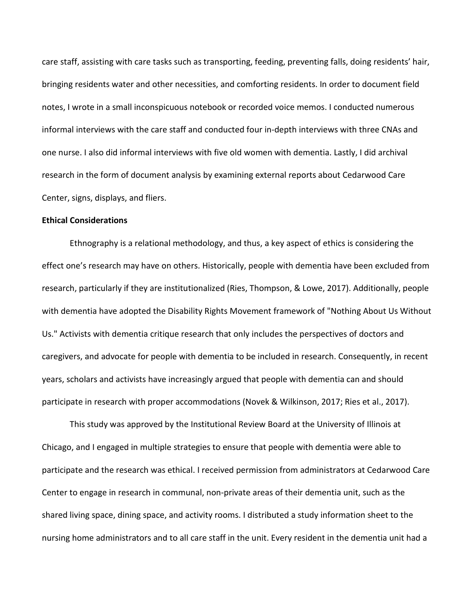care staff, assisting with care tasks such as transporting, feeding, preventing falls, doing residents' hair, bringing residents water and other necessities, and comforting residents. In order to document field notes, I wrote in a small inconspicuous notebook or recorded voice memos. I conducted numerous informal interviews with the care staff and conducted four in-depth interviews with three CNAs and one nurse. I also did informal interviews with five old women with dementia. Lastly, I did archival research in the form of document analysis by examining external reports about Cedarwood Care Center, signs, displays, and fliers.

#### **Ethical Considerations**

Ethnography is a relational methodology, and thus, a key aspect of ethics is considering the effect one's research may have on others. Historically, people with dementia have been excluded from research, particularly if they are institutionalized (Ries, Thompson, & Lowe, 2017). Additionally, people with dementia have adopted the Disability Rights Movement framework of "Nothing About Us Without Us." Activists with dementia critique research that only includes the perspectives of doctors and caregivers, and advocate for people with dementia to be included in research. Consequently, in recent years, scholars and activists have increasingly argued that people with dementia can and should participate in research with proper accommodations (Novek & Wilkinson, 2017; Ries et al., 2017).

This study was approved by the Institutional Review Board at the University of Illinois at Chicago, and I engaged in multiple strategies to ensure that people with dementia were able to participate and the research was ethical. I received permission from administrators at Cedarwood Care Center to engage in research in communal, non-private areas of their dementia unit, such as the shared living space, dining space, and activity rooms. I distributed a study information sheet to the nursing home administrators and to all care staff in the unit. Every resident in the dementia unit had a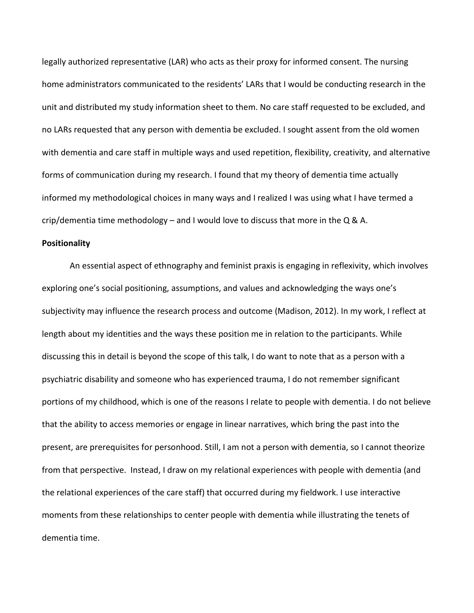legally authorized representative (LAR) who acts as their proxy for informed consent. The nursing home administrators communicated to the residents' LARs that I would be conducting research in the unit and distributed my study information sheet to them. No care staff requested to be excluded, and no LARs requested that any person with dementia be excluded. I sought assent from the old women with dementia and care staff in multiple ways and used repetition, flexibility, creativity, and alternative forms of communication during my research. I found that my theory of dementia time actually informed my methodological choices in many ways and I realized I was using what I have termed a crip/dementia time methodology – and I would love to discuss that more in the Q & A.

#### **Positionality**

An essential aspect of ethnography and feminist praxis is engaging in reflexivity, which involves exploring one's social positioning, assumptions, and values and acknowledging the ways one's subjectivity may influence the research process and outcome (Madison, 2012). In my work, I reflect at length about my identities and the ways these position me in relation to the participants. While discussing this in detail is beyond the scope of this talk, I do want to note that as a person with a psychiatric disability and someone who has experienced trauma, I do not remember significant portions of my childhood, which is one of the reasons I relate to people with dementia. I do not believe that the ability to access memories or engage in linear narratives, which bring the past into the present, are prerequisites for personhood. Still, I am not a person with dementia, so I cannot theorize from that perspective. Instead, I draw on my relational experiences with people with dementia (and the relational experiences of the care staff) that occurred during my fieldwork. I use interactive moments from these relationships to center people with dementia while illustrating the tenets of dementia time.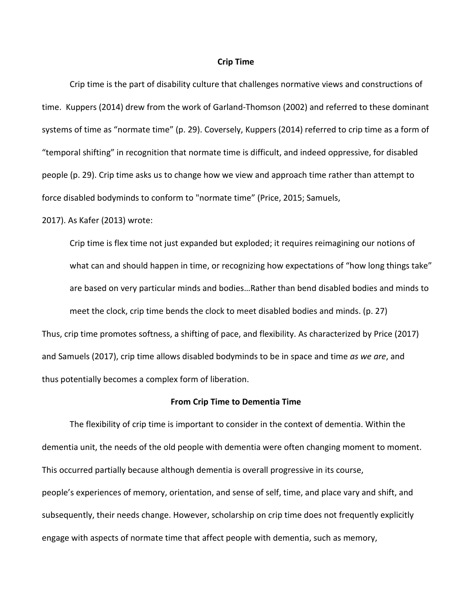#### **Crip Time**

Crip time is the part of disability culture that challenges normative views and constructions of time. Kuppers (2014) drew from the work of Garland-Thomson (2002) and referred to these dominant systems of time as "normate time" (p. 29). Coversely, Kuppers (2014) referred to crip time as a form of "temporal shifting" in recognition that normate time is difficult, and indeed oppressive, for disabled people (p. 29). Crip time asks us to change how we view and approach time rather than attempt to force disabled bodyminds to conform to "normate time" (Price, 2015; Samuels,

2017). As Kafer (2013) wrote:

Crip time is flex time not just expanded but exploded; it requires reimagining our notions of what can and should happen in time, or recognizing how expectations of "how long things take" are based on very particular minds and bodies…Rather than bend disabled bodies and minds to meet the clock, crip time bends the clock to meet disabled bodies and minds. (p. 27) Thus, crip time promotes softness, a shifting of pace, and flexibility. As characterized by Price (2017) and Samuels (2017), crip time allows disabled bodyminds to be in space and time *as we are*, and thus potentially becomes a complex form of liberation.

#### **From Crip Time to Dementia Time**

The flexibility of crip time is important to consider in the context of dementia. Within the dementia unit, the needs of the old people with dementia were often changing moment to moment. This occurred partially because although dementia is overall progressive in its course, people's experiences of memory, orientation, and sense of self, time, and place vary and shift, and subsequently, their needs change. However, scholarship on crip time does not frequently explicitly engage with aspects of normate time that affect people with dementia, such as memory,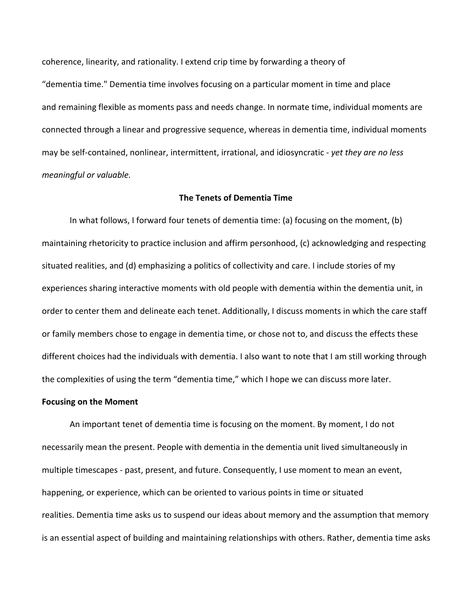coherence, linearity, and rationality. I extend crip time by forwarding a theory of "dementia time." Dementia time involves focusing on a particular moment in time and place and remaining flexible as moments pass and needs change. In normate time, individual moments are connected through a linear and progressive sequence, whereas in dementia time, individual moments may be self-contained, nonlinear, intermittent, irrational, and idiosyncratic - *yet they are no less meaningful or valuable.*

#### **The Tenets of Dementia Time**

In what follows, I forward four tenets of dementia time: (a) focusing on the moment, (b) maintaining rhetoricity to practice inclusion and affirm personhood, (c) acknowledging and respecting situated realities, and (d) emphasizing a politics of collectivity and care. I include stories of my experiences sharing interactive moments with old people with dementia within the dementia unit, in order to center them and delineate each tenet. Additionally, I discuss moments in which the care staff or family members chose to engage in dementia time, or chose not to, and discuss the effects these different choices had the individuals with dementia. I also want to note that I am still working through the complexities of using the term "dementia time," which I hope we can discuss more later.

#### **Focusing on the Moment**

An important tenet of dementia time is focusing on the moment. By moment, I do not necessarily mean the present. People with dementia in the dementia unit lived simultaneously in multiple timescapes - past, present, and future. Consequently, I use moment to mean an event, happening, or experience, which can be oriented to various points in time or situated realities. Dementia time asks us to suspend our ideas about memory and the assumption that memory is an essential aspect of building and maintaining relationships with others. Rather, dementia time asks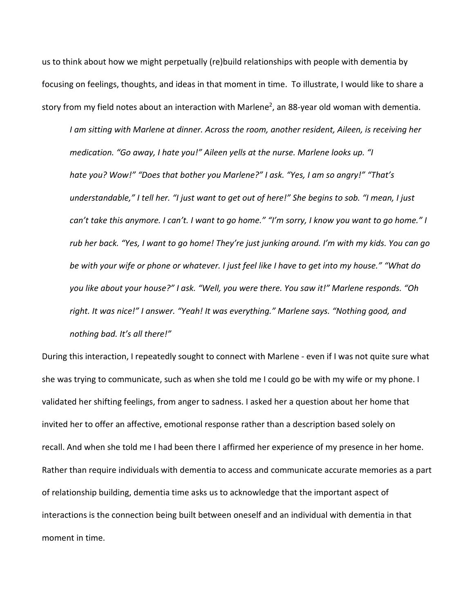us to think about how we might perpetually (re)build relationships with people with dementia by focusing on feelings, thoughts, and ideas in that moment in time. To illustrate, I would like to share a story from my field notes about an interaction with Marlene<sup>2</sup>, an 88-year old woman with dementia.

*I am sitting with Marlene at dinner. Across the room, another resident, Aileen, is receiving her medication. "Go away, I hate you!" Aileen yells at the nurse. Marlene looks up. "I hate you? Wow!" "Does that bother you Marlene?" I ask. "Yes, I am so angry!" "That's understandable," I tell her. "I just want to get out of here!" She begins to sob. "I mean, I just can't take this anymore. I can't. I want to go home." "I'm sorry, I know you want to go home." I rub her back. "Yes, I want to go home! They're just junking around. I'm with my kids. You can go be with your wife or phone or whatever. I just feel like I have to get into my house." "What do you like about your house?" I ask. "Well, you were there. You saw it!" Marlene responds. "Oh right. It was nice!" I answer. "Yeah! It was everything." Marlene says. "Nothing good, and nothing bad. It's all there!"*

During this interaction, I repeatedly sought to connect with Marlene - even if I was not quite sure what she was trying to communicate, such as when she told me I could go be with my wife or my phone. I validated her shifting feelings, from anger to sadness. I asked her a question about her home that invited her to offer an affective, emotional response rather than a description based solely on recall. And when she told me I had been there I affirmed her experience of my presence in her home. Rather than require individuals with dementia to access and communicate accurate memories as a part of relationship building, dementia time asks us to acknowledge that the important aspect of interactions is the connection being built between oneself and an individual with dementia in that moment in time.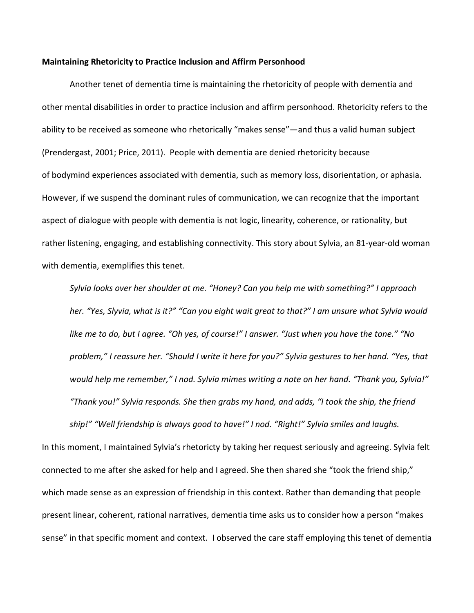#### **Maintaining Rhetoricity to Practice Inclusion and Affirm Personhood**

Another tenet of dementia time is maintaining the rhetoricity of people with dementia and other mental disabilities in order to practice inclusion and affirm personhood. Rhetoricity refers to the ability to be received as someone who rhetorically "makes sense"—and thus a valid human subject (Prendergast, 2001; Price, 2011). People with dementia are denied rhetoricity because of bodymind experiences associated with dementia, such as memory loss, disorientation, or aphasia. However, if we suspend the dominant rules of communication, we can recognize that the important aspect of dialogue with people with dementia is not logic, linearity, coherence, or rationality, but rather listening, engaging, and establishing connectivity. This story about Sylvia, an 81-year-old woman with dementia, exemplifies this tenet.

*Sylvia looks over her shoulder at me. "Honey? Can you help me with something?" I approach her. "Yes, Slyvia, what is it?" "Can you eight wait great to that?" I am unsure what Sylvia would like me to do, but I agree. "Oh yes, of course!" I answer. "Just when you have the tone." "No problem," I reassure her. "Should I write it here for you?" Sylvia gestures to her hand. "Yes, that would help me remember," I nod. Sylvia mimes writing a note on her hand. "Thank you, Sylvia!" "Thank you!" Sylvia responds. She then grabs my hand, and adds, "I took the ship, the friend ship!" "Well friendship is always good to have!" I nod. "Right!" Sylvia smiles and laughs.*

In this moment, I maintained Sylvia's rhetoricty by taking her request seriously and agreeing. Sylvia felt connected to me after she asked for help and I agreed. She then shared she "took the friend ship," which made sense as an expression of friendship in this context. Rather than demanding that people present linear, coherent, rational narratives, dementia time asks us to consider how a person "makes sense" in that specific moment and context. I observed the care staff employing this tenet of dementia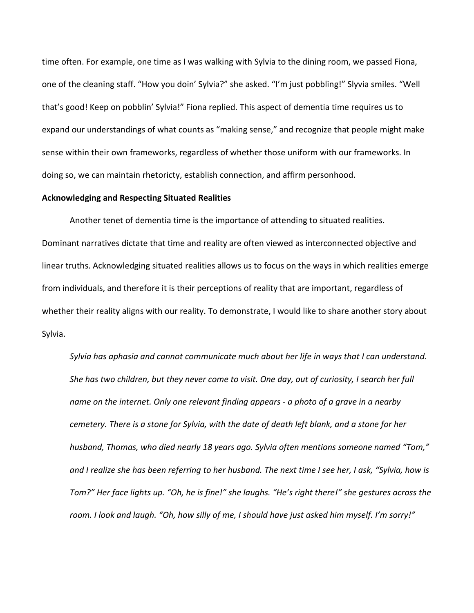time often. For example, one time as I was walking with Sylvia to the dining room, we passed Fiona, one of the cleaning staff. "How you doin' Sylvia?" she asked. "I'm just pobbling!" Slyvia smiles. "Well that's good! Keep on pobblin' Sylvia!" Fiona replied. This aspect of dementia time requires us to expand our understandings of what counts as "making sense," and recognize that people might make sense within their own frameworks, regardless of whether those uniform with our frameworks. In doing so, we can maintain rhetoricty, establish connection, and affirm personhood.

#### **Acknowledging and Respecting Situated Realities**

Another tenet of dementia time is the importance of attending to situated realities. Dominant narratives dictate that time and reality are often viewed as interconnected objective and linear truths. Acknowledging situated realities allows us to focus on the ways in which realities emerge from individuals, and therefore it is their perceptions of reality that are important, regardless of whether their reality aligns with our reality. To demonstrate, I would like to share another story about Sylvia.

*Sylvia has aphasia and cannot communicate much about her life in ways that I can understand. She has two children, but they never come to visit. One day, out of curiosity, I search her full name on the internet. Only one relevant finding appears - a photo of a grave in a nearby cemetery. There is a stone for Sylvia, with the date of death left blank, and a stone for her husband, Thomas, who died nearly 18 years ago. Sylvia often mentions someone named "Tom," and I realize she has been referring to her husband. The next time I see her, I ask, "Sylvia, how is Tom?" Her face lights up. "Oh, he is fine!" she laughs. "He's right there!" she gestures across the room. I look and laugh. "Oh, how silly of me, I should have just asked him myself. I'm sorry!"*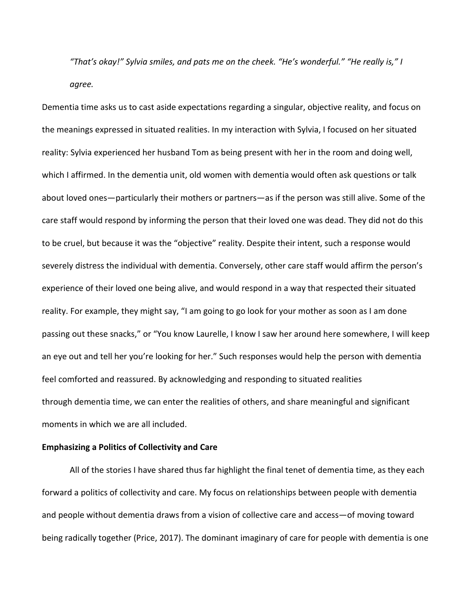*"That's okay!" Sylvia smiles, and pats me on the cheek. "He's wonderful." "He really is," I agree.*

Dementia time asks us to cast aside expectations regarding a singular, objective reality, and focus on the meanings expressed in situated realities. In my interaction with Sylvia, I focused on her situated reality: Sylvia experienced her husband Tom as being present with her in the room and doing well, which I affirmed. In the dementia unit, old women with dementia would often ask questions or talk about loved ones—particularly their mothers or partners—as if the person was still alive. Some of the care staff would respond by informing the person that their loved one was dead. They did not do this to be cruel, but because it was the "objective" reality. Despite their intent, such a response would severely distress the individual with dementia. Conversely, other care staff would affirm the person's experience of their loved one being alive, and would respond in a way that respected their situated reality. For example, they might say, "I am going to go look for your mother as soon as I am done passing out these snacks," or "You know Laurelle, I know I saw her around here somewhere, I will keep an eye out and tell her you're looking for her." Such responses would help the person with dementia feel comforted and reassured. By acknowledging and responding to situated realities through dementia time, we can enter the realities of others, and share meaningful and significant moments in which we are all included.

## **Emphasizing a Politics of Collectivity and Care**

All of the stories I have shared thus far highlight the final tenet of dementia time, as they each forward a politics of collectivity and care. My focus on relationships between people with dementia and people without dementia draws from a vision of collective care and access—of moving toward being radically together (Price, 2017). The dominant imaginary of care for people with dementia is one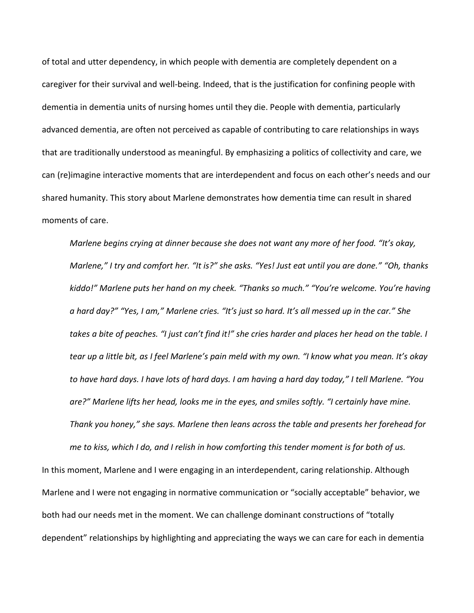of total and utter dependency, in which people with dementia are completely dependent on a caregiver for their survival and well-being. Indeed, that is the justification for confining people with dementia in dementia units of nursing homes until they die. People with dementia, particularly advanced dementia, are often not perceived as capable of contributing to care relationships in ways that are traditionally understood as meaningful. By emphasizing a politics of collectivity and care, we can (re)imagine interactive moments that are interdependent and focus on each other's needs and our shared humanity. This story about Marlene demonstrates how dementia time can result in shared moments of care.

*Marlene begins crying at dinner because she does not want any more of her food. "It's okay, Marlene," I try and comfort her. "It is?" she asks. "Yes! Just eat until you are done." "Oh, thanks kiddo!" Marlene puts her hand on my cheek. "Thanks so much." "You're welcome. You're having a hard day?" "Yes, I am," Marlene cries. "It's just so hard. It's all messed up in the car." She takes a bite of peaches. "I just can't find it!" she cries harder and places her head on the table. I tear up a little bit, as I feel Marlene's pain meld with my own. "I know what you mean. It's okay to have hard days. I have lots of hard days. I am having a hard day today," I tell Marlene. "You are?" Marlene lifts her head, looks me in the eyes, and smiles softly. "I certainly have mine. Thank you honey," she says. Marlene then leans across the table and presents her forehead for* 

In this moment, Marlene and I were engaging in an interdependent, caring relationship. Although Marlene and I were not engaging in normative communication or "socially acceptable" behavior, we both had our needs met in the moment. We can challenge dominant constructions of "totally dependent" relationships by highlighting and appreciating the ways we can care for each in dementia

*me to kiss, which I do, and I relish in how comforting this tender moment is for both of us.*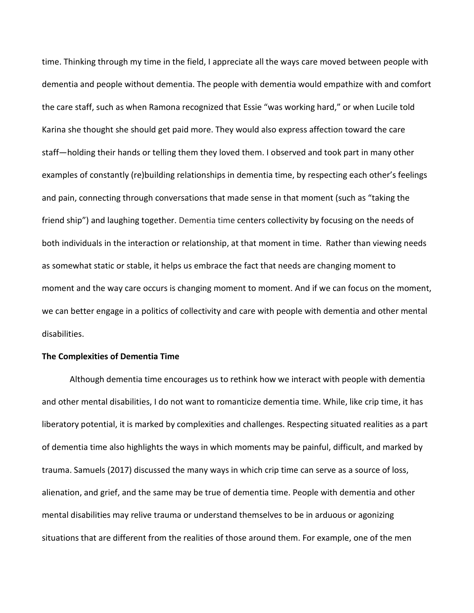time. Thinking through my time in the field, I appreciate all the ways care moved between people with dementia and people without dementia. The people with dementia would empathize with and comfort the care staff, such as when Ramona recognized that Essie "was working hard," or when Lucile told Karina she thought she should get paid more. They would also express affection toward the care staff—holding their hands or telling them they loved them. I observed and took part in many other examples of constantly (re)building relationships in dementia time, by respecting each other's feelings and pain, connecting through conversations that made sense in that moment (such as "taking the friend ship") and laughing together. Dementia time centers collectivity by focusing on the needs of both individuals in the interaction or relationship, at that moment in time. Rather than viewing needs as somewhat static or stable, it helps us embrace the fact that needs are changing moment to moment and the way care occurs is changing moment to moment. And if we can focus on the moment, we can better engage in a politics of collectivity and care with people with dementia and other mental disabilities.

### **The Complexities of Dementia Time**

Although dementia time encourages us to rethink how we interact with people with dementia and other mental disabilities, I do not want to romanticize dementia time. While, like crip time, it has liberatory potential, it is marked by complexities and challenges. Respecting situated realities as a part of dementia time also highlights the ways in which moments may be painful, difficult, and marked by trauma. Samuels (2017) discussed the many ways in which crip time can serve as a source of loss, alienation, and grief, and the same may be true of dementia time. People with dementia and other mental disabilities may relive trauma or understand themselves to be in arduous or agonizing situations that are different from the realities of those around them. For example, one of the men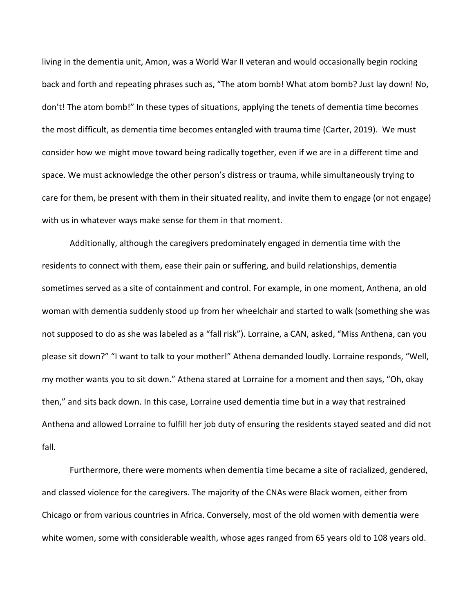living in the dementia unit, Amon, was a World War II veteran and would occasionally begin rocking back and forth and repeating phrases such as, "The atom bomb! What atom bomb? Just lay down! No, don't! The atom bomb!" In these types of situations, applying the tenets of dementia time becomes the most difficult, as dementia time becomes entangled with trauma time (Carter, 2019). We must consider how we might move toward being radically together, even if we are in a different time and space. We must acknowledge the other person's distress or trauma, while simultaneously trying to care for them, be present with them in their situated reality, and invite them to engage (or not engage) with us in whatever ways make sense for them in that moment.

Additionally, although the caregivers predominately engaged in dementia time with the residents to connect with them, ease their pain or suffering, and build relationships, dementia sometimes served as a site of containment and control. For example, in one moment, Anthena, an old woman with dementia suddenly stood up from her wheelchair and started to walk (something she was not supposed to do as she was labeled as a "fall risk"). Lorraine, a CAN, asked, "Miss Anthena, can you please sit down?" "I want to talk to your mother!" Athena demanded loudly. Lorraine responds, "Well, my mother wants you to sit down." Athena stared at Lorraine for a moment and then says, "Oh, okay then," and sits back down. In this case, Lorraine used dementia time but in a way that restrained Anthena and allowed Lorraine to fulfill her job duty of ensuring the residents stayed seated and did not fall.

Furthermore, there were moments when dementia time became a site of racialized, gendered, and classed violence for the caregivers. The majority of the CNAs were Black women, either from Chicago or from various countries in Africa. Conversely, most of the old women with dementia were white women, some with considerable wealth, whose ages ranged from 65 years old to 108 years old.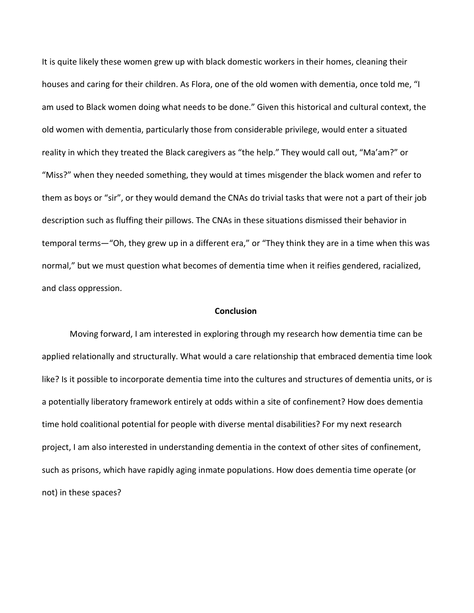It is quite likely these women grew up with black domestic workers in their homes, cleaning their houses and caring for their children. As Flora, one of the old women with dementia, once told me, "I am used to Black women doing what needs to be done." Given this historical and cultural context, the old women with dementia, particularly those from considerable privilege, would enter a situated reality in which they treated the Black caregivers as "the help." They would call out, "Ma'am?" or "Miss?" when they needed something, they would at times misgender the black women and refer to them as boys or "sir", or they would demand the CNAs do trivial tasks that were not a part of their job description such as fluffing their pillows. The CNAs in these situations dismissed their behavior in temporal terms—"Oh, they grew up in a different era," or "They think they are in a time when this was normal," but we must question what becomes of dementia time when it reifies gendered, racialized, and class oppression.

### **Conclusion**

Moving forward, I am interested in exploring through my research how dementia time can be applied relationally and structurally. What would a care relationship that embraced dementia time look like? Is it possible to incorporate dementia time into the cultures and structures of dementia units, or is a potentially liberatory framework entirely at odds within a site of confinement? How does dementia time hold coalitional potential for people with diverse mental disabilities? For my next research project, I am also interested in understanding dementia in the context of other sites of confinement, such as prisons, which have rapidly aging inmate populations. How does dementia time operate (or not) in these spaces?